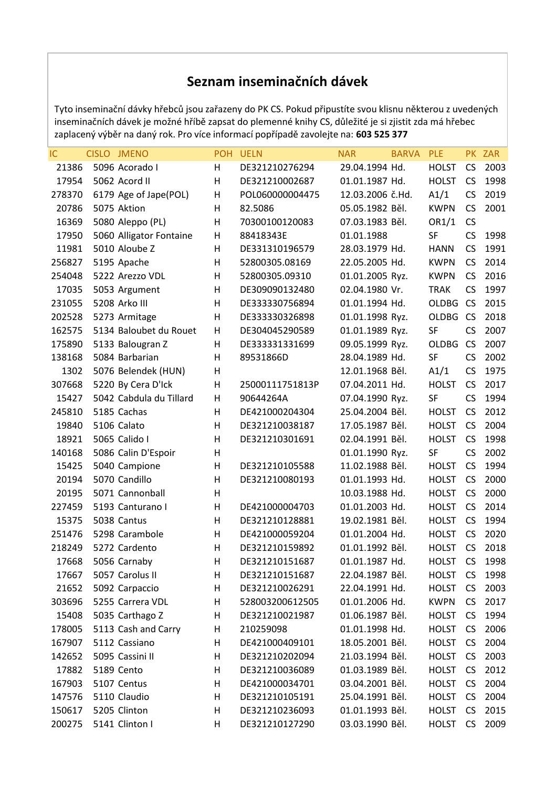## **Seznam inseminačních dávek**

Tyto inseminační dávky hřebců jsou zařazeny do PK CS. Pokud připustíte svou klisnu některou z uvedených inseminačních dávek je možné hříbě zapsat do plemenné knihy CS, důležité je si zjistit zda má hřebec zaplacený výběr na daný rok. Pro více informací popřípadě zavolejte na: **603 525 377**

| IC     | CISLO JMENO             | <b>POH</b> | <b>UELN</b>     | <b>NAR</b>       | <b>BARVA</b> | <b>PLE</b>   |           | PK ZAR |
|--------|-------------------------|------------|-----------------|------------------|--------------|--------------|-----------|--------|
| 21386  | 5096 Acorado I          | H          | DE321210276294  | 29.04.1994 Hd.   |              | <b>HOLST</b> | <b>CS</b> | 2003   |
| 17954  | 5062 Acord II           | H          | DE321210002687  | 01.01.1987 Hd.   |              | <b>HOLST</b> | <b>CS</b> | 1998   |
| 278370 | 6179 Age of Jape(POL)   | H          | POL060000004475 | 12.03.2006 č.Hd. |              | A1/1         | CS        | 2019   |
| 20786  | 5075 Aktion             | H          | 82.5086         | 05.05.1982 Běl.  |              | <b>KWPN</b>  | <b>CS</b> | 2001   |
| 16369  | 5080 Aleppo (PL)        | H          | 70300100120083  | 07.03.1983 Běl.  |              | OR1/1        | <b>CS</b> |        |
| 17950  | 5060 Alligator Fontaine | H          | 88418343E       | 01.01.1988       |              | SF           | CS        | 1998   |
| 11981  | 5010 Aloube Z           | H          | DE331310196579  | 28.03.1979 Hd.   |              | <b>HANN</b>  | <b>CS</b> | 1991   |
| 256827 | 5195 Apache             | H          | 52800305.08169  | 22.05.2005 Hd.   |              | <b>KWPN</b>  | <b>CS</b> | 2014   |
| 254048 | 5222 Arezzo VDL         | H          | 52800305.09310  | 01.01.2005 Ryz.  |              | <b>KWPN</b>  | <b>CS</b> | 2016   |
| 17035  | 5053 Argument           | H          | DE309090132480  | 02.04.1980 Vr.   |              | <b>TRAK</b>  | <b>CS</b> | 1997   |
| 231055 | 5208 Arko III           | H          | DE333330756894  | 01.01.1994 Hd.   |              | <b>OLDBG</b> | <b>CS</b> | 2015   |
| 202528 | 5273 Armitage           | H          | DE333330326898  | 01.01.1998 Ryz.  |              | <b>OLDBG</b> | <b>CS</b> | 2018   |
| 162575 | 5134 Baloubet du Rouet  | H          | DE304045290589  | 01.01.1989 Ryz.  |              | SF           | <b>CS</b> | 2007   |
| 175890 | 5133 Balougran Z        | H          | DE333331331699  | 09.05.1999 Ryz.  |              | <b>OLDBG</b> | <b>CS</b> | 2007   |
| 138168 | 5084 Barbarian          | H          | 89531866D       | 28.04.1989 Hd.   |              | <b>SF</b>    | <b>CS</b> | 2002   |
| 1302   | 5076 Belendek (HUN)     | H          |                 | 12.01.1968 Běl.  |              | A1/1         | <b>CS</b> | 1975   |
| 307668 | 5220 By Cera D'Ick      | H          | 25000111751813P | 07.04.2011 Hd.   |              | <b>HOLST</b> | <b>CS</b> | 2017   |
| 15427  | 5042 Cabdula du Tillard | H          | 90644264A       | 07.04.1990 Ryz.  |              | SF           | <b>CS</b> | 1994   |
| 245810 | 5185 Cachas             | H          | DE421000204304  | 25.04.2004 Běl.  |              | <b>HOLST</b> | <b>CS</b> | 2012   |
| 19840  | 5106 Calato             | H          | DE321210038187  | 17.05.1987 Běl.  |              | <b>HOLST</b> | <b>CS</b> | 2004   |
| 18921  | 5065 Calido I           | H          | DE321210301691  | 02.04.1991 Běl.  |              | <b>HOLST</b> | <b>CS</b> | 1998   |
| 140168 | 5086 Calin D'Espoir     | H          |                 | 01.01.1990 Ryz.  |              | SF           | CS        | 2002   |
| 15425  | 5040 Campione           | H          | DE321210105588  | 11.02.1988 Běl.  |              | <b>HOLST</b> | <b>CS</b> | 1994   |
| 20194  | 5070 Candillo           | H          | DE321210080193  | 01.01.1993 Hd.   |              | <b>HOLST</b> | <b>CS</b> | 2000   |
| 20195  | 5071 Cannonball         | H          |                 | 10.03.1988 Hd.   |              | <b>HOLST</b> | <b>CS</b> | 2000   |
| 227459 | 5193 Canturano I        | H          | DE421000004703  | 01.01.2003 Hd.   |              | <b>HOLST</b> | <b>CS</b> | 2014   |
| 15375  | 5038 Cantus             | H          | DE321210128881  | 19.02.1981 Běl.  |              | <b>HOLST</b> | <b>CS</b> | 1994   |
| 251476 | 5298 Carambole          | H          | DE421000059204  | 01.01.2004 Hd.   |              | <b>HOLST</b> | <b>CS</b> | 2020   |
| 218249 | 5272 Cardento           | H          | DE321210159892  | 01.01.1992 Běl.  |              | <b>HOLST</b> | <b>CS</b> | 2018   |
| 17668  | 5056 Carnaby            | H          | DE321210151687  | 01.01.1987 Hd.   |              | <b>HOLST</b> | <b>CS</b> | 1998   |
| 17667  | 5057 Carolus II         | н          | DE321210151687  | 22.04.1987 Běl.  |              | <b>HOLST</b> | <b>CS</b> | 1998   |
| 21652  | 5092 Carpaccio          | н          | DE321210026291  | 22.04.1991 Hd.   |              | <b>HOLST</b> | <b>CS</b> | 2003   |
| 303696 | 5255 Carrera VDL        | Н          | 528003200612505 | 01.01.2006 Hd.   |              | <b>KWPN</b>  | <b>CS</b> | 2017   |
| 15408  | 5035 Carthago Z         | Н          | DE321210021987  | 01.06.1987 Běl.  |              | <b>HOLST</b> | <b>CS</b> | 1994   |
| 178005 | 5113 Cash and Carry     | Н          | 210259098       | 01.01.1998 Hd.   |              | <b>HOLST</b> | CS        | 2006   |
| 167907 | 5112 Cassiano           | H          | DE421000409101  | 18.05.2001 Běl.  |              | <b>HOLST</b> | <b>CS</b> | 2004   |
| 142652 | 5095 Cassini II         | H          | DE321210202094  | 21.03.1994 Běl.  |              | <b>HOLST</b> | CS        | 2003   |
| 17882  | 5189 Cento              | H          | DE321210036089  | 01.03.1989 Běl.  |              | <b>HOLST</b> | <b>CS</b> | 2012   |
| 167903 | 5107 Centus             | H          | DE421000034701  | 03.04.2001 Běl.  |              | <b>HOLST</b> | <b>CS</b> | 2004   |
| 147576 | 5110 Claudio            | H          | DE321210105191  | 25.04.1991 Běl.  |              | <b>HOLST</b> | <b>CS</b> | 2004   |
| 150617 | 5205 Clinton            | H          | DE321210236093  | 01.01.1993 Běl.  |              | <b>HOLST</b> | <b>CS</b> | 2015   |
| 200275 | 5141 Clinton I          | H          | DE321210127290  | 03.03.1990 Běl.  |              | <b>HOLST</b> | CS        | 2009   |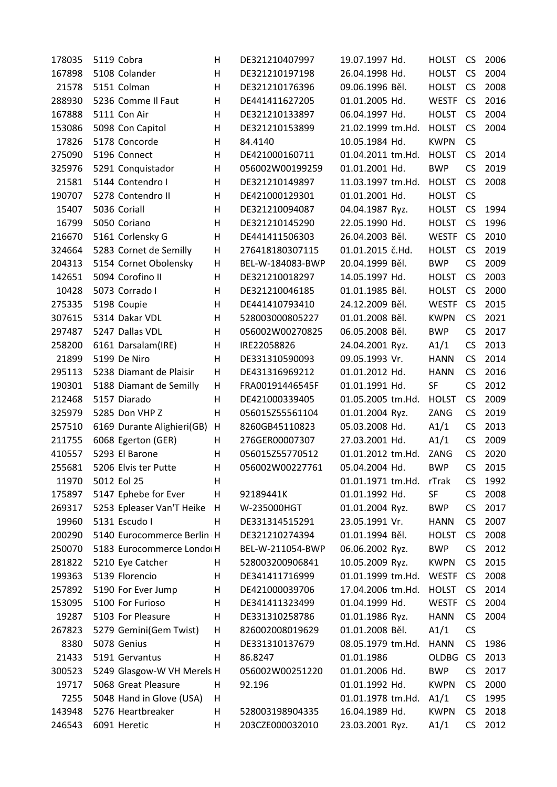| 178035 | 5119 Cobra   |                            | н  | DE321210407997   | 19.07.1997 Hd.    | HOLST        | <b>CS</b> | 2006 |
|--------|--------------|----------------------------|----|------------------|-------------------|--------------|-----------|------|
| 167898 |              | 5108 Colander              | н  | DE321210197198   | 26.04.1998 Hd.    | <b>HOLST</b> | <b>CS</b> | 2004 |
| 21578  |              | 5151 Colman                | H  | DE321210176396   | 09.06.1996 Běl.   | <b>HOLST</b> | <b>CS</b> | 2008 |
| 288930 |              | 5236 Comme Il Faut         | н  | DE441411627205   | 01.01.2005 Hd.    | <b>WESTF</b> | <b>CS</b> | 2016 |
| 167888 |              | 5111 Con Air               | н  | DE321210133897   | 06.04.1997 Hd.    | <b>HOLST</b> | <b>CS</b> | 2004 |
| 153086 |              | 5098 Con Capitol           | н  | DE321210153899   | 21.02.1999 tm.Hd. | <b>HOLST</b> | <b>CS</b> | 2004 |
| 17826  |              | 5178 Concorde              | н  | 84.4140          | 10.05.1984 Hd.    | <b>KWPN</b>  | <b>CS</b> |      |
| 275090 |              | 5196 Connect               | H  | DE421000160711   | 01.04.2011 tm.Hd. | <b>HOLST</b> | <b>CS</b> | 2014 |
| 325976 |              | 5291 Conquistador          | Η  | 056002W00199259  | 01.01.2001 Hd.    | <b>BWP</b>   | CS        | 2019 |
| 21581  |              | 5144 Contendro I           | н  | DE321210149897   | 11.03.1997 tm.Hd. | <b>HOLST</b> | <b>CS</b> | 2008 |
| 190707 |              | 5278 Contendro II          | Η  | DE421000129301   | 01.01.2001 Hd.    | <b>HOLST</b> | <b>CS</b> |      |
| 15407  | 5036 Coriall |                            | н  | DE321210094087   | 04.04.1987 Ryz.   | <b>HOLST</b> | CS        | 1994 |
| 16799  |              | 5050 Coriano               | H  | DE321210145290   | 22.05.1990 Hd.    | <b>HOLST</b> | <b>CS</b> | 1996 |
| 216670 |              | 5161 Corlensky G           | Η  | DE441411506303   | 26.04.2003 Běl.   | <b>WESTF</b> | <b>CS</b> | 2010 |
| 324664 |              | 5283 Cornet de Semilly     | н  | 276418180307115  | 01.01.2015 č.Hd.  | <b>HOLST</b> | <b>CS</b> | 2019 |
| 204313 |              | 5154 Cornet Obolensky      | н  | BEL-W-184083-BWP | 20.04.1999 Běl.   | <b>BWP</b>   | <b>CS</b> | 2009 |
| 142651 |              | 5094 Corofino II           | H  | DE321210018297   | 14.05.1997 Hd.    | <b>HOLST</b> | <b>CS</b> | 2003 |
| 10428  |              | 5073 Corrado I             | н  | DE321210046185   | 01.01.1985 Běl.   | <b>HOLST</b> | <b>CS</b> | 2000 |
| 275335 |              | 5198 Coupie                | Η  | DE441410793410   | 24.12.2009 Běl.   | <b>WESTF</b> | <b>CS</b> | 2015 |
| 307615 |              | 5314 Dakar VDL             | H  | 528003000805227  | 01.01.2008 Běl.   | <b>KWPN</b>  | <b>CS</b> | 2021 |
| 297487 |              | 5247 Dallas VDL            | н  | 056002W00270825  | 06.05.2008 Běl.   | <b>BWP</b>   | <b>CS</b> | 2017 |
| 258200 |              | 6161 Darsalam(IRE)         | н  | IRE22058826      | 24.04.2001 Ryz.   | A1/1         | <b>CS</b> | 2013 |
| 21899  |              | 5199 De Niro               | н  | DE331310590093   | 09.05.1993 Vr.    | <b>HANN</b>  | <b>CS</b> | 2014 |
| 295113 |              | 5238 Diamant de Plaisir    | н  | DE431316969212   | 01.01.2012 Hd.    | <b>HANN</b>  | <b>CS</b> | 2016 |
| 190301 |              | 5188 Diamant de Semilly    | н  | FRA00191446545F  | 01.01.1991 Hd.    | SF           | <b>CS</b> | 2012 |
| 212468 |              | 5157 Diarado               | н  | DE421000339405   | 01.05.2005 tm.Hd. | <b>HOLST</b> | CS        | 2009 |
| 325979 |              | 5285 Don VHP Z             | H  | 056015Z55561104  | 01.01.2004 Ryz.   | ZANG         | <b>CS</b> | 2019 |
| 257510 |              | 6169 Durante Alighieri(GB) | н  | 8260GB45110823   | 05.03.2008 Hd.    | A1/1         | <b>CS</b> | 2013 |
| 211755 |              | 6068 Egerton (GER)         | н  | 276GER00007307   | 27.03.2001 Hd.    | A1/1         | <b>CS</b> | 2009 |
| 410557 |              | 5293 El Barone             | н  | 056015Z55770512  | 01.01.2012 tm.Hd. | ZANG         | <b>CS</b> | 2020 |
| 255681 |              | 5206 Elvis ter Putte       | н  | 056002W00227761  | 05.04.2004 Hd.    | <b>BWP</b>   | CS        | 2015 |
| 11970  | 5012 Eol 25  |                            | н  |                  | 01.01.1971 tm.Hd. | rTrak        | <b>CS</b> | 1992 |
| 175897 |              | 5147 Ephebe for Ever       | н  | 92189441K        | 01.01.1992 Hd.    | SF           | <b>CS</b> | 2008 |
| 269317 |              | 5253 Epleaser Van'T Heike  | H  | W-235000HGT      | 01.01.2004 Ryz.   | <b>BWP</b>   | <b>CS</b> | 2017 |
| 19960  |              | 5131 Escudo I              | H  | DE331314515291   | 23.05.1991 Vr.    | <b>HANN</b>  | <b>CS</b> | 2007 |
| 200290 |              | 5140 Eurocommerce Berlin H |    | DE321210274394   | 01.01.1994 Běl.   | <b>HOLST</b> | CS        | 2008 |
| 250070 |              | 5183 Eurocommerce Londoi H |    | BEL-W-211054-BWP | 06.06.2002 Ryz.   | <b>BWP</b>   | CS        | 2012 |
| 281822 |              | 5210 Eye Catcher           | H. | 528003200906841  | 10.05.2009 Ryz.   | <b>KWPN</b>  | CS        | 2015 |
| 199363 |              | 5139 Florencio             | н  | DE341411716999   | 01.01.1999 tm.Hd. | <b>WESTF</b> | <b>CS</b> | 2008 |
| 257892 |              | 5190 For Ever Jump         | н  | DE421000039706   | 17.04.2006 tm.Hd. | <b>HOLST</b> | <b>CS</b> | 2014 |
| 153095 |              | 5100 For Furioso           | н  | DE341411323499   | 01.04.1999 Hd.    | <b>WESTF</b> | CS        | 2004 |
| 19287  |              | 5103 For Pleasure          | н  | DE331310258786   | 01.01.1986 Ryz.   | <b>HANN</b>  | <b>CS</b> | 2004 |
| 267823 |              | 5279 Gemini(Gem Twist)     | н  | 826002008019629  | 01.01.2008 Běl.   | A1/1         | <b>CS</b> |      |
| 8380   |              | 5078 Genius                | н  | DE331310137679   | 08.05.1979 tm.Hd. | <b>HANN</b>  | CS        | 1986 |
| 21433  |              | 5191 Gervantus             | н  | 86.8247          | 01.01.1986        | <b>OLDBG</b> | <b>CS</b> | 2013 |
| 300523 |              | 5249 Glasgow-W VH Merels H |    | 056002W00251220  | 01.01.2006 Hd.    | <b>BWP</b>   | <b>CS</b> | 2017 |
| 19717  |              | 5068 Great Pleasure        | н  | 92.196           | 01.01.1992 Hd.    | <b>KWPN</b>  | CS        | 2000 |
| 7255   |              | 5048 Hand in Glove (USA)   | н  |                  | 01.01.1978 tm.Hd. | A1/1         | CS        | 1995 |
| 143948 |              | 5276 Heartbreaker          | н  | 528003198904335  | 16.04.1989 Hd.    | <b>KWPN</b>  | <b>CS</b> | 2018 |
| 246543 |              | 6091 Heretic               | н  | 203CZE000032010  | 23.03.2001 Ryz.   | A1/1         | <b>CS</b> | 2012 |
|        |              |                            |    |                  |                   |              |           |      |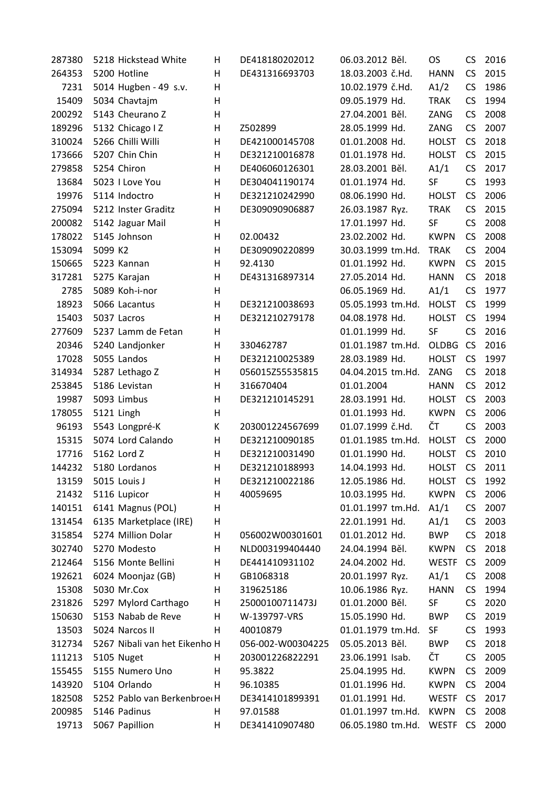| 287380 | 5218 Hickstead White          | н  | DE418180202012    | 06.03.2012 Běl.   | <b>OS</b>    | <b>CS</b> | 2016 |
|--------|-------------------------------|----|-------------------|-------------------|--------------|-----------|------|
| 264353 | 5200 Hotline                  | H  | DE431316693703    | 18.03.2003 č.Hd.  | <b>HANN</b>  | CS        | 2015 |
| 7231   | 5014 Hugben - 49 s.v.         | H  |                   | 10.02.1979 č.Hd.  | A1/2         | CS        | 1986 |
| 15409  | 5034 Chavtajm                 | H  |                   | 09.05.1979 Hd.    | <b>TRAK</b>  | CS        | 1994 |
| 200292 | 5143 Cheurano Z               | H  |                   | 27.04.2001 Běl.   | ZANG         | CS        | 2008 |
| 189296 | 5132 Chicago I Z              | н  | Z502899           | 28.05.1999 Hd.    | ZANG         | CS        | 2007 |
| 310024 | 5266 Chilli Willi             | H  | DE421000145708    | 01.01.2008 Hd.    | <b>HOLST</b> | <b>CS</b> | 2018 |
| 173666 | 5207 Chin Chin                | H  | DE321210016878    | 01.01.1978 Hd.    | <b>HOLST</b> | <b>CS</b> | 2015 |
| 279858 | 5254 Chiron                   | H  | DE406060126301    | 28.03.2001 Běl.   | A1/1         | CS        | 2017 |
| 13684  | 5023 I Love You               | H  | DE304041190174    | 01.01.1974 Hd.    | SF           | CS        | 1993 |
| 19976  | 5114 Indoctro                 | H  | DE321210242990    | 08.06.1990 Hd.    | <b>HOLST</b> | <b>CS</b> | 2006 |
| 275094 | 5212 Inster Graditz           | H  | DE309090906887    | 26.03.1987 Ryz.   | <b>TRAK</b>  | CS        | 2015 |
| 200082 | 5142 Jaguar Mail              | H  |                   | 17.01.1997 Hd.    | SF           | CS        | 2008 |
| 178022 | 5145 Johnson                  | Н  | 02.00432          | 23.02.2002 Hd.    | <b>KWPN</b>  | CS        | 2008 |
| 153094 | 5099 K2                       | H  | DE309090220899    | 30.03.1999 tm.Hd. | <b>TRAK</b>  | <b>CS</b> | 2004 |
| 150665 | 5223 Kannan                   | H  | 92.4130           | 01.01.1992 Hd.    | <b>KWPN</b>  | CS        | 2015 |
| 317281 | 5275 Karajan                  | H  | DE431316897314    | 27.05.2014 Hd.    | <b>HANN</b>  | CS        | 2018 |
| 2785   | 5089 Koh-i-nor                | H  |                   | 06.05.1969 Hd.    | A1/1         | CS        | 1977 |
| 18923  | 5066 Lacantus                 | H  | DE321210038693    | 05.05.1993 tm.Hd. | <b>HOLST</b> | <b>CS</b> | 1999 |
| 15403  | 5037 Lacros                   | H  | DE321210279178    | 04.08.1978 Hd.    | <b>HOLST</b> | <b>CS</b> | 1994 |
| 277609 | 5237 Lamm de Fetan            | н  |                   | 01.01.1999 Hd.    | SF           | CS        | 2016 |
| 20346  | 5240 Landjonker               | н  | 330462787         | 01.01.1987 tm.Hd. | OLDBG        | <b>CS</b> | 2016 |
| 17028  | 5055 Landos                   | H  | DE321210025389    | 28.03.1989 Hd.    | <b>HOLST</b> | <b>CS</b> | 1997 |
| 314934 | 5287 Lethago Z                | H  | 056015Z55535815   | 04.04.2015 tm.Hd. | ZANG         | CS        | 2018 |
| 253845 | 5186 Levistan                 | H  | 316670404         | 01.01.2004        | <b>HANN</b>  | CS        | 2012 |
| 19987  | 5093 Limbus                   | H  | DE321210145291    | 28.03.1991 Hd.    | <b>HOLST</b> | <b>CS</b> | 2003 |
| 178055 | 5121 Lingh                    | H  |                   | 01.01.1993 Hd.    | <b>KWPN</b>  | CS        | 2006 |
| 96193  | 5543 Longpré-K                | К  | 203001224567699   | 01.07.1999 č.Hd.  | ČΤ           | CS        | 2003 |
| 15315  | 5074 Lord Calando             | H  | DE321210090185    | 01.01.1985 tm.Hd. | <b>HOLST</b> | <b>CS</b> | 2000 |
| 17716  | 5162 Lord Z                   | H  | DE321210031490    | 01.01.1990 Hd.    | <b>HOLST</b> | <b>CS</b> | 2010 |
| 144232 | 5180 Lordanos                 | H  | DE321210188993    | 14.04.1993 Hd.    | <b>HOLST</b> | <b>CS</b> | 2011 |
| 13159  | 5015 Louis J                  | н  | DE321210022186    | 12.05.1986 Hd.    | <b>HOLST</b> | <b>CS</b> | 1992 |
| 21432  | 5116 Lupicor                  | н  | 40059695          | 10.03.1995 Hd.    | <b>KWPN</b>  | <b>CS</b> | 2006 |
| 140151 | 6141 Magnus (POL)             | H  |                   | 01.01.1997 tm.Hd. | A1/1         | <b>CS</b> | 2007 |
| 131454 | 6135 Marketplace (IRE)        | н  |                   | 22.01.1991 Hd.    | A1/1         | <b>CS</b> | 2003 |
| 315854 | 5274 Million Dolar            | н  | 056002W00301601   | 01.01.2012 Hd.    | <b>BWP</b>   | <b>CS</b> | 2018 |
| 302740 | 5270 Modesto                  | H  | NLD003199404440   | 24.04.1994 Běl.   | <b>KWPN</b>  | <b>CS</b> | 2018 |
| 212464 | 5156 Monte Bellini            | H  | DE441410931102    | 24.04.2002 Hd.    | <b>WESTF</b> | <b>CS</b> | 2009 |
| 192621 | 6024 Moonjaz (GB)             | H  | GB1068318         | 20.01.1997 Ryz.   | A1/1         | <b>CS</b> | 2008 |
| 15308  | 5030 Mr.Cox                   | н  | 319625186         | 10.06.1986 Ryz.   | <b>HANN</b>  | CS        | 1994 |
| 231826 | 5297 Mylord Carthago          | H  | 25000100711473J   | 01.01.2000 Běl.   | SF           | <b>CS</b> | 2020 |
| 150630 | 5153 Nabab de Reve            | H  | W-139797-VRS      | 15.05.1990 Hd.    | <b>BWP</b>   | <b>CS</b> | 2019 |
| 13503  | 5024 Narcos II                | H  | 40010879          | 01.01.1979 tm.Hd. | SF           | <b>CS</b> | 1993 |
| 312734 | 5267 Nibali van het Eikenho H |    | 056-002-W00304225 | 05.05.2013 Běl.   | <b>BWP</b>   | <b>CS</b> | 2018 |
| 111213 | 5105 Nuget                    | H. | 203001226822291   | 23.06.1991 Isab.  | ČΤ           | <b>CS</b> | 2005 |
| 155455 | 5155 Numero Uno               | H  | 95.3822           | 25.04.1995 Hd.    | <b>KWPN</b>  | <b>CS</b> | 2009 |
| 143920 | 5104 Orlando                  | н  | 96.10385          | 01.01.1996 Hd.    | <b>KWPN</b>  | <b>CS</b> | 2004 |
| 182508 | 5252 Pablo van BerkenbroerH   |    | DE3414101899391   | 01.01.1991 Hd.    | WESTF        | <b>CS</b> | 2017 |
| 200985 | 5146 Padinus                  | H  | 97.01588          | 01.01.1997 tm.Hd. | <b>KWPN</b>  | <b>CS</b> | 2008 |
| 19713  | 5067 Papillion                | H  | DE341410907480    | 06.05.1980 tm.Hd. | WESTF CS     |           | 2000 |
|        |                               |    |                   |                   |              |           |      |